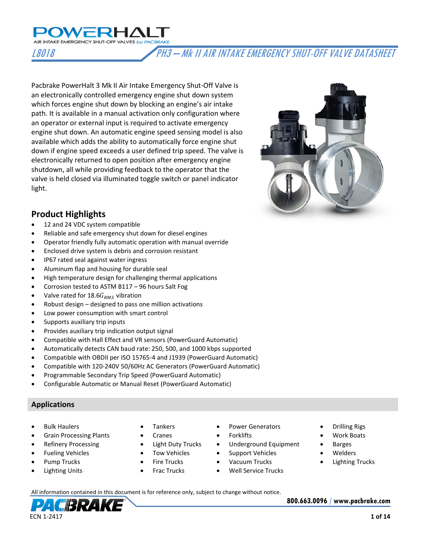

L8018 PH3 – Mk II AIR INTAKE EMERGENCY SHUT-OFF VALVE DATASHEET

Pacbrake PowerHalt 3 Mk II Air Intake Emergency Shut-Off Valve is an electronically controlled emergency engine shut down system which forces engine shut down by blocking an engine's air intake path. It is available in a manual activation only configuration where an operator or external input is required to activate emergency engine shut down. An automatic engine speed sensing model is also available which adds the ability to automatically force engine shut down if engine speed exceeds a user defined trip speed. The valve is electronically returned to open position after emergency engine shutdown, all while providing feedback to the operator that the valve is held closed via illuminated toggle switch or panel indicator light.



# <span id="page-0-0"></span>**Product Highlights**

- 12 and 24 VDC system compatible
- Reliable and safe emergency shut down for diesel engines
- Operator friendly fully automatic operation with manual override
- Enclosed drive system is debris and corrosion resistant
- IP67 rated seal against water ingress
- Aluminum flap and housing for durable seal
- High temperature design for challenging thermal applications
- Corrosion tested to ASTM B117 96 hours Salt Fog
- Valve rated for 18.6 $G_{RMS}$  vibration
- Robust design designed to pass one million activations
- Low power consumption with smart control
- Supports auxiliary trip inputs
- Provides auxiliary trip indication output signal
- Compatible with Hall Effect and VR sensors (PowerGuard Automatic)
- Automatically detects CAN baud rate: 250, 500, and 1000 kbps supported
- Compatible with OBDII per ISO 15765-4 and J1939 (PowerGuard Automatic)
- Compatible with 120-240V 50/60Hz AC Generators (PowerGuard Automatic)
- Programmable Secondary Trip Speed (PowerGuard Automatic)
- Configurable Automatic or Manual Reset (PowerGuard Automatic)

#### **Applications**

- 
- Grain Processing Plants Cranes Forklifts Work Boats
- 
- 
- 
- 
- 
- 
- 
- 
- 
- 
- Bulk Haulers Tankers Power Generators Drilling Rigs
	-
- Refinery Processing Light Duty Trucks Underground Equipment Barges
	- Fueling Vehicles Tow Vehicles Support Vehicles Welders
		-
	- Lighting Units **•** Frac Trucks Well Service Trucks
- 
- 
- 
- 
- Pump Trucks Fire Trucks Vacuum Trucks Lighting Trucks

All information contained in this document is for reference only, subject to change without notice.

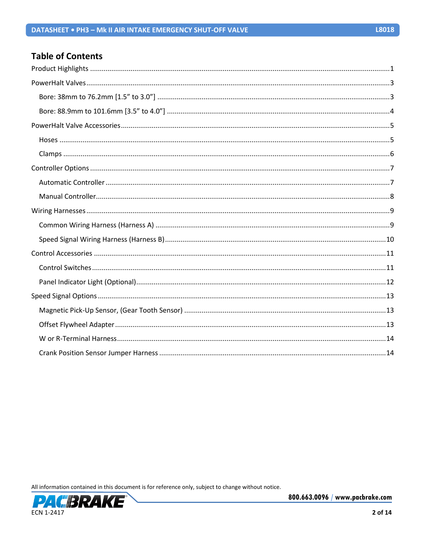# **Table of Contents**

All information contained in this document is for reference only, subject to change without notice.

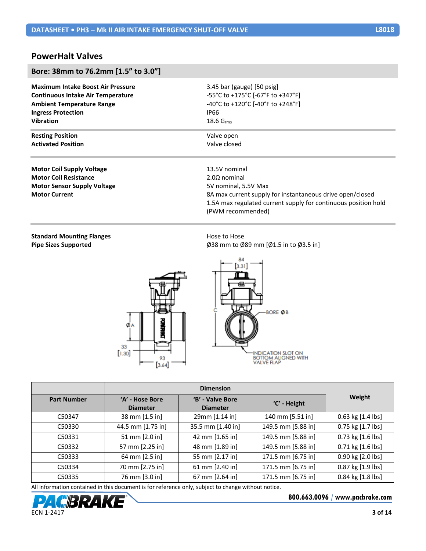<span id="page-2-1"></span><span id="page-2-0"></span>

| Bore: 38mm to 76.2mm [1.5" to 3.0"]      |                                                                            |  |  |  |  |  |  |
|------------------------------------------|----------------------------------------------------------------------------|--|--|--|--|--|--|
| <b>Maximum Intake Boost Air Pressure</b> | 3.45 bar (gauge) $[50 \text{ psig}]$                                       |  |  |  |  |  |  |
| <b>Continuous Intake Air Temperature</b> | -55°C to +175°C [-67°F to +347°F]                                          |  |  |  |  |  |  |
| <b>Ambient Temperature Range</b>         | $-40^{\circ}$ C to $+120^{\circ}$ C [-40 $^{\circ}$ F to $+248^{\circ}$ F] |  |  |  |  |  |  |
| <b>Ingress Protection</b>                | IP66                                                                       |  |  |  |  |  |  |
| <b>Vibration</b>                         | $18.6$ Grms                                                                |  |  |  |  |  |  |
| <b>Resting Position</b>                  | Valve open                                                                 |  |  |  |  |  |  |
| <b>Activated Position</b>                | Valve closed                                                               |  |  |  |  |  |  |
| <b>Motor Coil Supply Voltage</b>         | 13.5V nominal                                                              |  |  |  |  |  |  |
| <b>Motor Coil Resistance</b>             | $2.0\Omega$ nominal                                                        |  |  |  |  |  |  |

**Motor Sensor Supply Voltage** 5V nominal, 5.5V Max **Motor Current Motor Current 8A max current supply for instantaneous drive open/closed** 1.5A max regulated current supply for continuous position hold (PWM recommended)

**Standard Mounting Flanges Hose to Hose to Hose** 

**Pipe Sizes Supported Pipe Sizes Supported** *C* **38 mm to Ø89 mm [Ø1.5 in to Ø3.5 in]** 



| <b>Part Number</b> | 'A' - Hose Bore<br><b>Diameter</b> | 'B' - Valve Bore<br><b>Diameter</b> | 'C' - Height       | Weight                |
|--------------------|------------------------------------|-------------------------------------|--------------------|-----------------------|
|                    |                                    |                                     |                    |                       |
| C50347             | 38 mm [1.5 in]                     | 29mm [1.14 in]                      | 140 mm [5.51 in]   | 0.63 kg [1.4 lbs]     |
| C50330             | 44.5 mm [1.75 in]                  | 35.5 mm [1.40 in]                   | 149.5 mm [5.88 in] | 0.75 kg [1.7 lbs]     |
| C50331             | 51 mm [2.0 in]                     | 42 mm [1.65 in]                     | 149.5 mm [5.88 in] | $0.73$ kg $[1.6$ lbs] |
| C50332             | 57 mm [2.25 in]                    | 48 mm [1.89 in]                     | 149.5 mm [5.88 in] | 0.71 kg [1.6 lbs]     |
| C50333             | 64 mm [2.5 in]                     | 55 mm [2.17 in]                     | 171.5 mm [6.75 in] | 0.90 kg [2.0 lbs]     |
| C50334             | 70 mm [2.75 in]                    | 61 mm [2.40 in]                     | 171.5 mm [6.75 in] | 0.87 kg [1.9 lbs]     |
| C50335             | 76 mm [3.0 in]                     | 67 mm [2.64 in]                     | 171.5 mm [6.75 in] | 0.84 kg [1.8 lbs]     |

All information contained in this document is for reference only, subject to change without notice.

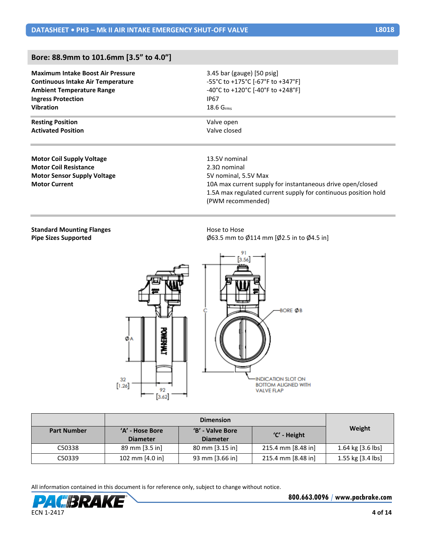# <span id="page-3-0"></span>**Bore: 88.9mm to 101.6mm [3.5" to 4.0"]**

| <b>Maximum Intake Boost Air Pressure</b> | 3.45 bar (gauge) $[50 \text{ psig}]$ |
|------------------------------------------|--------------------------------------|
| <b>Continuous Intake Air Temperature</b> | -55°C to +175°C [-67°F to +347°F]    |
| <b>Ambient Temperature Range</b>         | -40°C to +120°C [-40°F to +248°F]    |
| <b>Ingress Protection</b>                | <b>IP67</b>                          |
| <b>Vibration</b>                         | $18.6$ Grms                          |
| <b>Resting Position</b>                  | Valve open                           |
| <b>Activated Position</b>                | Valve closed                         |
|                                          |                                      |
| <b>Motor Coil Supply Voltage</b>         | 13.5V nominal                        |
| <b>Motor Coil Resistance</b>             | $2.3\Omega$ nominal                  |
| <b>Motor Sensor Supply Voltage</b>       | 5V nominal, 5.5V Max                 |
| .                                        |                                      |

**Motor Current** 10A max current supply for instantaneous drive open/closed 1.5A max regulated current supply for continuous position hold (PWM recommended)

# **Standard Mounting Flanges Hose to Hose to Hose**

**Pipe Sizes Supported Pipe Sizes Supported Pipe Sizes Supported Pipe Sizes Supported Pipe Sizes Supported Pipe Sizes Supported Pipe Sizes Supported Pipe Sizes Supported Pipe Sizes Supported Pipe Sizes Sup** 



| <b>Part Number</b> | 'A' - Hose Bore<br><b>Diameter</b> | 'B' - Valve Bore<br><b>Diameter</b> | 'C' - Height       | Weight            |
|--------------------|------------------------------------|-------------------------------------|--------------------|-------------------|
| C50338             | 89 mm [3.5 in]                     | 80 mm [3.15 in]                     | 215.4 mm [8.48 in] | 1.64 kg [3.6 lbs] |
| C50339             | 102 mm [4.0 in]                    | 93 mm [3.66 in]                     | 215.4 mm [8.48 in] | 1.55 kg [3.4 lbs] |

All information contained in this document is for reference only, subject to change without notice.

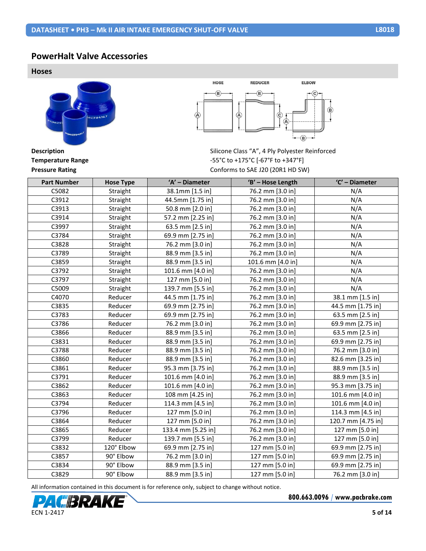## <span id="page-4-0"></span>**PowerHalt Valve Accessories**

<span id="page-4-1"></span>**Hoses**





**Description Description** Silicone Class "A", 4 Ply Polyester Reinforced **Temperature Range**  $-55^{\circ}$ C to  $+175^{\circ}$ C [-67<sup>°</sup>F to  $+347^{\circ}$ F] **Pressure Rating** Conforms to SAE J20 (20R1 HD SW)

| <b>Part Number</b> | <b>Hose Type</b> | 'A' - Diameter<br>'B' - Hose Length  |                   | 'C' - Diameter     |
|--------------------|------------------|--------------------------------------|-------------------|--------------------|
| C5082              | Straight         | 38.1mm [1.5 in]                      | 76.2 mm [3.0 in]  | N/A                |
| C3912              | Straight         | 44.5mm [1.75 in]<br>76.2 mm [3.0 in] |                   | N/A                |
| C3913              | Straight         | 50.8 mm [2.0 in]                     | 76.2 mm [3.0 in]  | N/A                |
| C3914              | Straight         | 57.2 mm [2.25 in]                    | 76.2 mm [3.0 in]  | N/A                |
| C3997              | Straight         | 63.5 mm [2.5 in]                     | 76.2 mm [3.0 in]  | N/A                |
| C3784              | Straight         | 69.9 mm [2.75 in]                    | 76.2 mm [3.0 in]  | N/A                |
| C3828              | Straight         | 76.2 mm [3.0 in]                     | 76.2 mm [3.0 in]  | N/A                |
| C3789              | Straight         | 88.9 mm [3.5 in]                     | 76.2 mm [3.0 in]  | N/A                |
| C3859              | Straight         | 88.9 mm [3.5 in]                     | 101.6 mm [4.0 in] | N/A                |
| C3792              | Straight         | 101.6 mm [4.0 in]                    | 76.2 mm [3.0 in]  | N/A                |
| C3797              | Straight         | 127 mm [5.0 in]                      | 76.2 mm [3.0 in]  | N/A                |
| C5009              | Straight         | 139.7 mm [5.5 in]                    | 76.2 mm [3.0 in]  | N/A                |
| C4070              | Reducer          | 44.5 mm [1.75 in]                    | 76.2 mm [3.0 in]  | 38.1 mm [1.5 in]   |
| C3835              | Reducer          | 69.9 mm [2.75 in]                    | 76.2 mm [3.0 in]  | 44.5 mm [1.75 in]  |
| C3783              | Reducer          | 69.9 mm [2.75 in]                    | 76.2 mm [3.0 in]  | 63.5 mm [2.5 in]   |
| C3786              | Reducer          | 76.2 mm [3.0 in]                     | 76.2 mm [3.0 in]  | 69.9 mm [2.75 in]  |
| C3866              | Reducer          | 88.9 mm [3.5 in]                     | 76.2 mm [3.0 in]  | 63.5 mm [2.5 in]   |
| C3831              | Reducer          | 88.9 mm [3.5 in]                     | 76.2 mm [3.0 in]  | 69.9 mm [2.75 in]  |
| C3788              | Reducer          | 88.9 mm [3.5 in]                     | 76.2 mm [3.0 in]  | 76.2 mm [3.0 in]   |
| C3860              | Reducer          | 88.9 mm [3.5 in]                     | 76.2 mm [3.0 in]  | 82.6 mm [3.25 in]  |
| C3861              | Reducer          | 95.3 mm [3.75 in]                    | 76.2 mm [3.0 in]  | 88.9 mm [3.5 in]   |
| C3791              | Reducer          | 101.6 mm [4.0 in]                    | 76.2 mm [3.0 in]  | 88.9 mm [3.5 in]   |
| C3862              | Reducer          | 101.6 mm [4.0 in]                    | 76.2 mm [3.0 in]  | 95.3 mm [3.75 in]  |
| C3863              | Reducer          | 108 mm [4.25 in]                     | 76.2 mm [3.0 in]  | 101.6 mm [4.0 in]  |
| C3794              | Reducer          | 114.3 mm [4.5 in]                    | 76.2 mm [3.0 in]  | 101.6 mm [4.0 in]  |
| C3796              | Reducer          | 127 mm [5.0 in]                      | 76.2 mm [3.0 in]  | 114.3 mm [4.5 in]  |
| C3864              | Reducer          | 127 mm [5.0 in]                      | 76.2 mm [3.0 in]  | 120.7 mm [4.75 in] |
| C3865              | Reducer          | 133.4 mm [5.25 in]                   | 76.2 mm [3.0 in]  | 127 mm [5.0 in]    |
| C3799              | Reducer          | 139.7 mm [5.5 in]                    | 76.2 mm [3.0 in]  | 127 mm [5.0 in]    |
| C3832              | 120° Elbow       | 69.9 mm [2.75 in]                    | 127 mm [5.0 in]   | 69.9 mm [2.75 in]  |
| C3857              | 90° Elbow        | 76.2 mm [3.0 in]                     | 127 mm [5.0 in]   | 69.9 mm [2.75 in]  |
| C3834              | 90° Elbow        | 88.9 mm [3.5 in]                     | 127 mm [5.0 in]   | 69.9 mm [2.75 in]  |
| C3829              | 90° Elbow        | 88.9 mm [3.5 in]                     | 127 mm [5.0 in]   | 76.2 mm [3.0 in]   |

All information contained in this document is for reference only, subject to change without notice.

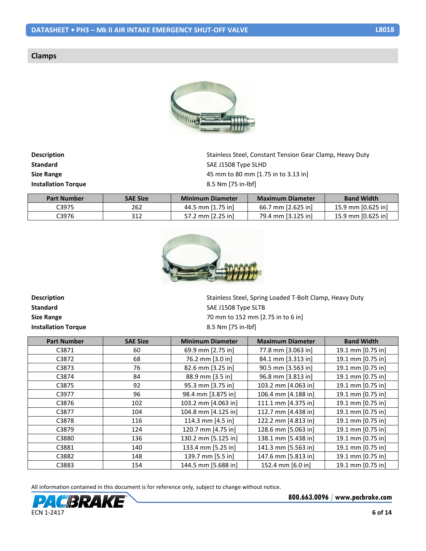#### <span id="page-5-0"></span>**Clamps**



**Installation Torque** 8.5 Nm [75 in-lbf]

**Description Description** Stainless Steel, Constant Tension Gear Clamp, Heavy Duty **Standard** SAE J1508 Type SLHD **Size Range** 45 mm to 80 mm [1.75 in to 3.13 in]

| <b>Part Number</b> | <b>SAE Size</b> | <b>Minimum Diameter</b> | Maximum Diameter   | <b>Band Width</b>  |
|--------------------|-----------------|-------------------------|--------------------|--------------------|
| C3975              | 262             | 44.5 mm [1.75 in]       | 66.7 mm [2.625 in] | 15.9 mm [0.625 in] |
| ር3976              | 312             | 57.2 mm [2.25 in]       | 79.4 mm [3.125 in] | 15.9 mm [0.625 in] |



**Installation Torque** 8.5 Nm [75 in-lbf]

**Description Description** Stainless Steel, Spring Loaded T-Bolt Clamp, Heavy Duty **Standard** SAE J1508 Type SLTB **Size Range** 70 mm to 152 mm [2.75 in to 6 in]

| <b>Part Number</b> | <b>SAE Size</b> | <b>Minimum Diameter</b> | <b>Maximum Diameter</b> | <b>Band Width</b> |
|--------------------|-----------------|-------------------------|-------------------------|-------------------|
| C3871              | 60              | 69.9 mm [2.75 in]       | 77.8 mm [3.063 in]      | 19.1 mm [0.75 in] |
| C3872              | 68              | 76.2 mm [3.0 in]        | 84.1 mm [3.313 in]      | 19.1 mm [0.75 in] |
| C3873              | 76              | 82.6 mm [3.25 in]       | 90.5 mm [3.563 in]      | 19.1 mm [0.75 in] |
| C3874              | 84              | 88.9 mm [3.5 in]        | 96.8 mm [3.813 in]      | 19.1 mm [0.75 in] |
| C3875              | 92              | 95.3 mm [3.75 in]       | 103.2 mm [4.063 in]     | 19.1 mm [0.75 in] |
| C3977              | 96              | 98.4 mm [3.875 in]      | 106.4 mm [4.188 in]     | 19.1 mm [0.75 in] |
| C3876              | 102             | 103.2 mm [4.063 in]     | 111.1 mm [4.375 in]     | 19.1 mm [0.75 in] |
| C3877              | 104             | 104.8 mm [4.125 in]     | 112.7 mm [4.438 in]     | 19.1 mm [0.75 in] |
| C3878              | 116             | 114.3 mm [4.5 in]       | 122.2 mm [4.813 in]     | 19.1 mm [0.75 in] |
| C3879              | 124             | 120.7 mm [4.75 in]      | 128.6 mm [5.063 in]     | 19.1 mm [0.75 in] |
| C3880              | 136             | 130.2 mm [5.125 in]     | 138.1 mm [5.438 in]     | 19.1 mm [0.75 in] |
| C3881              | 140             | 133.4 mm [5.25 in]      | 141.3 mm [5.563 in]     | 19.1 mm [0.75 in] |
| C3882              | 148             | 139.7 mm [5.5 in]       | 147.6 mm [5.813 in]     | 19.1 mm [0.75 in] |
| C3883              | 154             | 144.5 mm [5.688 in]     | 152.4 mm [6.0 in]       | 19.1 mm [0.75 in] |

All information contained in this document is for reference only, subject to change without notice.

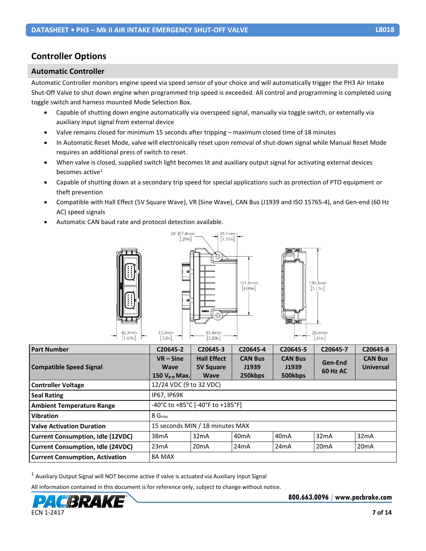# <span id="page-6-0"></span>**Controller Options**

#### <span id="page-6-1"></span>**Automatic Controller**

Automatic Controller monitors engine speed via speed sensor of your choice and will automatically trigger the PH3 Air Intake Shut-Off Valve to shut down engine when programmed trip speed is exceeded. All control and programming is completed using toggle switch and harness mounted Mode Selection Box.

- Capable of shutting down engine automatically via overspeed signal, manually via toggle switch, or externally via auxiliary input signal from external device
- Valve remains closed for minimum 15 seconds after tripping maximum closed time of 18 minutes
- In Automatic Reset Mode, valve will electronically reset upon removal of shut-down signal while Manual Reset Mode requires an additional press of switch to reset.
- When valve is closed, supplied switch light becomes lit and auxiliary output signal for activating external devices becomes active<sup>1</sup>
- Capable of shutting down at a secondary trip speed for special applications such as protection of PTO equipment or theft prevention
- Compatible with Hall Effect (5V Square Wave), VR (Sine Wave), CAN Bus (J1939 and ISO 15765-4), and Gen-end (60 Hz AC) speed signals
- Automatic CAN baud rate and protocol detection available.



| <b>Part Number</b>                       | C20645-2                                                                            | C20645-3                                              | C20645-4                           | C20645-5                           | C20645-7                   | C20645-8                           |
|------------------------------------------|-------------------------------------------------------------------------------------|-------------------------------------------------------|------------------------------------|------------------------------------|----------------------------|------------------------------------|
| <b>Compatible Speed Signal</b>           | $VR - Sine$<br><b>Wave</b><br>150 $V_{p-p}$ Max.                                    | <b>Hall Effect</b><br><b>5V Square</b><br><b>Wave</b> | <b>CAN Bus</b><br>J1939<br>250kbps | <b>CAN Bus</b><br>J1939<br>500kbps | Gen-End<br><b>60 Hz AC</b> | <b>CAN Bus</b><br><b>Universal</b> |
| <b>Controller Voltage</b>                | 12/24 VDC (9 to 32 VDC)                                                             |                                                       |                                    |                                    |                            |                                    |
| <b>Seal Rating</b>                       | IP67, IP69K                                                                         |                                                       |                                    |                                    |                            |                                    |
| <b>Ambient Temperature Range</b>         | -40°C to +85°C [-40°F to +185°F]                                                    |                                                       |                                    |                                    |                            |                                    |
| <b>Vibration</b>                         | 8 Grms                                                                              |                                                       |                                    |                                    |                            |                                    |
| <b>Valve Activation Duration</b>         | 15 seconds MIN / 18 minutes MAX                                                     |                                                       |                                    |                                    |                            |                                    |
| <b>Current Consumption, Idle (12VDC)</b> | 32mA<br>32mA<br>32mA<br>40 <sub>m</sub> A<br>38 <sub>m</sub> A<br>40 <sub>m</sub> A |                                                       |                                    |                                    |                            |                                    |
| <b>Current Consumption, Idle (24VDC)</b> | 23mA                                                                                | 20mA                                                  | 24mA                               | 24mA                               | 20 <sub>m</sub> A          | 20 <sub>m</sub> A                  |
| <b>Current Consumption, Activation</b>   | 8A MAX                                                                              |                                                       |                                    |                                    |                            |                                    |

 $^1$  Auxiliary Output Signal will NOT become active if valve is actuated via Auxiliary Input Signal

All information contained in this document is for reference only, subject to change without notice.

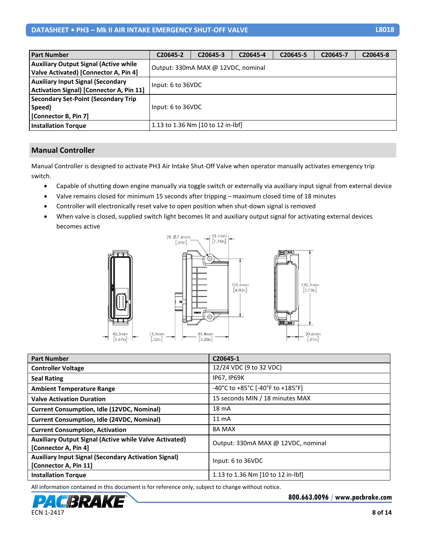| <b>Part Number</b>                           | C20645-2                          | C <sub>20645</sub> -3              | C20645-4 | C <sub>20645-5</sub> | C <sub>20645</sub> -7 | C20645-8 |
|----------------------------------------------|-----------------------------------|------------------------------------|----------|----------------------|-----------------------|----------|
| <b>Auxiliary Output Signal (Active while</b> |                                   | Output: 330mA MAX @ 12VDC, nominal |          |                      |                       |          |
| Valve Activated) [Connector A, Pin 4]        |                                   |                                    |          |                      |                       |          |
| <b>Auxiliary Input Signal (Secondary</b>     | Input: 6 to 36VDC                 |                                    |          |                      |                       |          |
| Activation Signal) [Connector A, Pin 11]     |                                   |                                    |          |                      |                       |          |
| <b>Secondary Set-Point (Secondary Trip</b>   |                                   |                                    |          |                      |                       |          |
| Speed)                                       | Input: 6 to 36VDC                 |                                    |          |                      |                       |          |
| [Connector B, Pin 7]                         |                                   |                                    |          |                      |                       |          |
| <b>Installation Torque</b>                   | 1.13 to 1.36 Nm [10 to 12 in-lbf] |                                    |          |                      |                       |          |

#### <span id="page-7-0"></span>**Manual Controller**

Manual Controller is designed to activate PH3 Air Intake Shut-Off Valve when operator manually activates emergency trip switch.

- Capable of shutting down engine manually via toggle switch or externally via auxiliary input signal from external device
- Valve remains closed for minimum 15 seconds after tripping maximum closed time of 18 minutes
- Controller will electronically reset valve to open position when shut-down signal is removed
- When valve is closed, supplied switch light becomes lit and auxiliary output signal for activating external devices becomes active



| <b>Part Number</b>                                            | C20645-1                           |
|---------------------------------------------------------------|------------------------------------|
| <b>Controller Voltage</b>                                     | 12/24 VDC (9 to 32 VDC)            |
| <b>Seal Rating</b>                                            | <b>IP67, IP69K</b>                 |
| <b>Ambient Temperature Range</b>                              | -40°C to +85°C [-40°F to +185°F]   |
| <b>Valve Activation Duration</b>                              | 15 seconds MIN / 18 minutes MAX    |
| <b>Current Consumption, Idle (12VDC, Nominal)</b>             | $18 \text{ mA}$                    |
| <b>Current Consumption, Idle (24VDC, Nominal)</b>             | $11 \text{ mA}$                    |
| <b>Current Consumption, Activation</b>                        | 8A MAX                             |
| <b>Auxiliary Output Signal (Active while Valve Activated)</b> | Output: 330mA MAX @ 12VDC, nominal |
| [Connector A, Pin 4]                                          |                                    |
| <b>Auxiliary Input Signal (Secondary Activation Signal)</b>   | Input: 6 to 36VDC                  |
| [Connector A, Pin 11]                                         |                                    |
| <b>Installation Torque</b>                                    | 1.13 to 1.36 Nm [10 to 12 in-lbf]  |

All information contained in this document is for reference only, subject to change without notice.

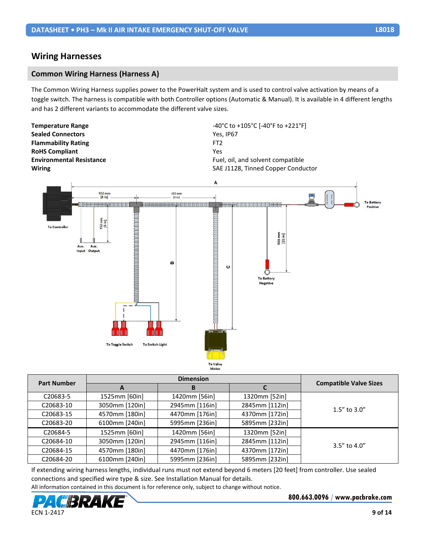### <span id="page-8-0"></span>**Wiring Harnesses**

#### <span id="page-8-1"></span>**Common Wiring Harness (Harness A)**

The Common Wiring Harness supplies power to the PowerHalt system and is used to control valve activation by means of a toggle switch. The harness is compatible with both Controller options (Automatic & Manual). It is available in 4 different lengths and has 2 different variants to accommodate the different valve sizes.



To Valve Motor

| <b>Part Number</b> |                |                |                |                               |
|--------------------|----------------|----------------|----------------|-------------------------------|
|                    | A              | В              |                | <b>Compatible Valve Sizes</b> |
| C20683-5           | 1525mm [60in]  | 1420mm [56in]  | 1320mm [52in]  |                               |
| C20683-10          | 3050mm [120in] | 2945mm [116in] | 2845mm [112in] | $1.5''$ to $3.0''$            |
| C20683-15          | 4570mm [180in] | 4470mm [176in] | 4370mm [172in] |                               |
| C20683-20          | 6100mm [240in] | 5995mm [236in] | 5895mm [232in] |                               |
| C20684-5           | 1525mm [60in]  | 1420mm [56in]  | 1320mm [52in]  |                               |
| C20684-10          | 3050mm [120in] | 2945mm [116in] | 2845mm [112in] | $3.5''$ to $4.0''$            |
| C20684-15          | 4570mm [180in] | 4470mm [176in] | 4370mm [172in] |                               |
| C20684-20          | 6100mm [240in] | 5995mm [236in] | 5895mm [232in] |                               |

If extending wiring harness lengths, individual runs must not extend beyond 6 meters [20 feet] from controller. Use sealed connections and specified wire type & size. See Installation Manual for details.

All information contained in this document is for reference only, subject to change without notice.

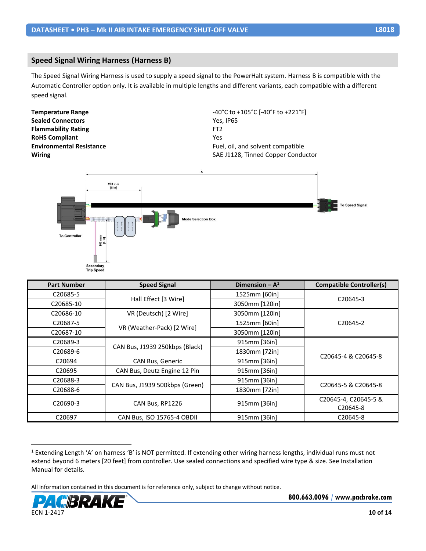#### <span id="page-9-0"></span>**Speed Signal Wiring Harness (Harness B)**

The Speed Signal Wiring Harness is used to supply a speed signal to the PowerHalt system. Harness B is compatible with the Automatic Controller option only. It is available in multiple lengths and different variants, each compatible with a different speed signal.

**Sealed Connectors** Yes, IP65 **Flammability Rating** FT2 **RoHS Compliant** Yes

**Temperature Range**  $-40^{\circ}$ C to  $+105^{\circ}$ C  $[-40^{\circ}$ F to  $+221^{\circ}$ F] **Environmental Resistance** Fuel, oil, and solvent compatible **Wiring Community Conduction Conduction Conduction Conduction Conduction Conduction Conduction Conduction Conduction Conduction Conduction Conduction Conduction Conduction Conduction Conduction Conduction Conduction Conduc** 



| <b>Part Number</b>   | <b>Speed Signal</b>            | Dimension $-A1$ | <b>Compatible Controller(s)</b> |  |
|----------------------|--------------------------------|-----------------|---------------------------------|--|
| C20685-5             | Hall Effect [3 Wire]           | 1525mm [60in]   | C20645-3                        |  |
| C20685-10            |                                | 3050mm [120in]  |                                 |  |
| C20686-10            | VR (Deutsch) [2 Wire]          | 3050mm [120in]  |                                 |  |
| C <sub>20687-5</sub> |                                | 1525mm [60in]   | C20645-2                        |  |
| C20687-10            | VR (Weather-Pack) [2 Wire]     | 3050mm [120in]  |                                 |  |
| C20689-3             |                                | 915mm [36in]    |                                 |  |
| C20689-6             | CAN Bus, J1939 250kbps (Black) | 1830mm [72in]   |                                 |  |
| C <sub>20694</sub>   | CAN Bus, Generic               | 915mm [36in]    | C20645-4 & C20645-8             |  |
| C <sub>20695</sub>   | CAN Bus, Deutz Engine 12 Pin   | 915mm [36in]    |                                 |  |
| C20688-3             |                                | 915mm [36in]    |                                 |  |
| C20688-6             | CAN Bus, J1939 500kbps (Green) | 1830mm [72in]   | C20645-5 & C20645-8             |  |
| C20690-3             | CAN Bus, RP1226                | 915mm [36in]    | C20645-4, C20645-5 &            |  |
|                      |                                |                 | C20645-8                        |  |
| C <sub>20697</sub>   | CAN Bus, ISO 15765-4 OBDII     | 915mm [36in]    | C20645-8                        |  |

<sup>1</sup> Extending Length 'A' on harness 'B' is NOT permitted. If extending other wiring harness lengths, individual runs must not extend beyond 6 meters [20 feet] from controller. Use sealed connections and specified wire type & size. See Installation Manual for details.

All information contained in this document is for reference only, subject to change without notice.

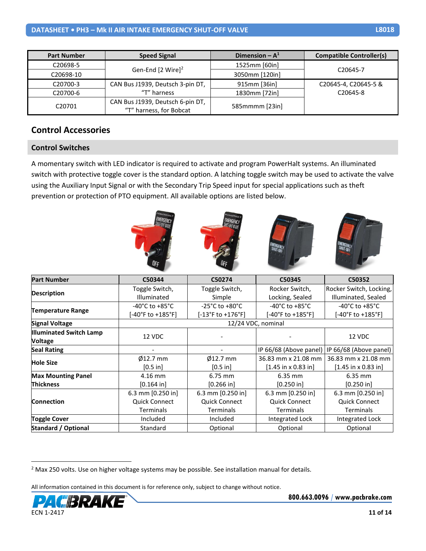| <b>Part Number</b>   | <b>Speed Signal</b>                                         | Dimension $-A^1$ | <b>Compatible Controller(s)</b> |
|----------------------|-------------------------------------------------------------|------------------|---------------------------------|
| C <sub>20698-5</sub> |                                                             | 1525mm [60in]    |                                 |
| C20698-10            | Gen-End [2 Wire] <sup>2</sup>                               | 3050mm [120in]   | C <sub>20645</sub> -7           |
| C20700-3             | CAN Bus J1939, Deutsch 3-pin DT,                            | 915mm [36in]     | C20645-4, C20645-5 &            |
| C20700-6             | "T" harness                                                 | 1830mm [72in]    | C <sub>20645</sub> -8           |
| C <sub>20701</sub>   | CAN Bus J1939, Deutsch 6-pin DT,<br>"T" harness, for Bobcat | 585mmmm [23in]   |                                 |

# <span id="page-10-0"></span>**Control Accessories**

#### <span id="page-10-1"></span>**Control Switches**

A momentary switch with LED indicator is required to activate and program PowerHalt systems. An illuminated switch with protective toggle cover is the standard option. A latching toggle switch may be used to activate the valve using the Auxiliary Input Signal or with the Secondary Trip Speed input for special applications such as theft prevention or protection of PTO equipment. All available options are listed below.



| <b>Part Number</b>                        | C50344               | C50274                             | C50345                               | C50352                                          |
|-------------------------------------------|----------------------|------------------------------------|--------------------------------------|-------------------------------------------------|
|                                           | Toggle Switch,       | Toggle Switch,                     | Rocker Switch,                       | Rocker Switch, Locking,                         |
| <b>Description</b>                        | Illuminated          | Simple                             | Locking, Sealed                      | Illuminated, Sealed                             |
|                                           | -40°C to +85°C       | $-25^{\circ}$ C to $+80^{\circ}$ C | -40 $^{\circ}$ C to +85 $^{\circ}$ C | -40°C to +85°C                                  |
| <b>Temperature Range</b>                  | [-40°F to +185°F]    | [-13°F to +176°F]                  | [-40°F to +185°F]                    | [-40°F to +185°F]                               |
| <b>Signal Voltage</b>                     |                      |                                    | 12/24 VDC, nominal                   |                                                 |
| <b>Illuminated Switch Lamp</b><br>Voltage | 12 VDC               |                                    |                                      | 12 VDC                                          |
| <b>Seal Rating</b>                        |                      |                                    |                                      | IP 66/68 (Above panel)   IP 66/68 (Above panel) |
|                                           | $\varphi$ 12.7 mm    | $\varphi$ 12.7 mm                  | 36.83 mm x 21.08 mm                  | 36.83 mm x 21.08 mm                             |
| <b>Hole Size</b>                          | [0.5 in]             | [0.5 in]                           | $[1.45$ in x 0.83 in]                | $[1.45$ in x 0.83 in]                           |
| <b>Max Mounting Panel</b>                 | $4.16$ mm            | 6.75 mm                            | 6.35 mm                              | 6.35 mm                                         |
| <b>Thickness</b>                          | $[0.164]$ in         | $[0.266]$ in                       | $[0.250$ in]                         | $[0.250$ in]                                    |
|                                           | 6.3 mm $[0.250$ in]  | 6.3 mm [0.250 in]                  | 6.3 mm $[0.250$ in                   | 6.3 mm $[0.250$ in]                             |
| <b>Connection</b>                         | <b>Quick Connect</b> | <b>Quick Connect</b>               | <b>Quick Connect</b>                 | <b>Quick Connect</b>                            |
|                                           | Terminals            | Terminals                          | <b>Terminals</b>                     | <b>Terminals</b>                                |
| <b>Toggle Cover</b>                       | Included             | Included                           | Integrated Lock                      | Integrated Lock                                 |
| <b>Standard / Optional</b>                | Standard             | Optional                           | Optional                             | Optional                                        |

<sup>2</sup> Max 250 volts. Use on higher voltage systems may be possible. See installation manual for details.

All information contained in this document is for reference only, subject to change without notice.

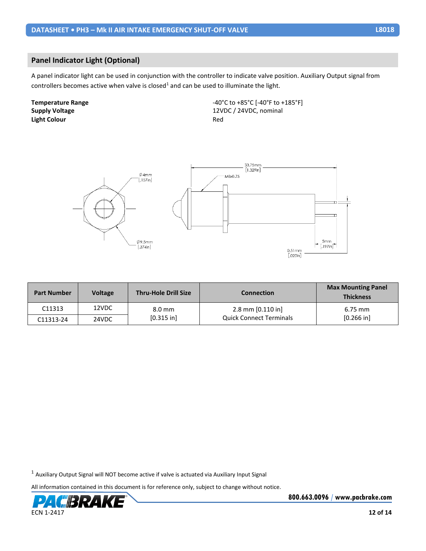### <span id="page-11-0"></span>**Panel Indicator Light (Optional)**

A panel indicator light can be used in conjunction with the controller to indicate valve position. Auxiliary Output signal from controllers becomes active when valve is closed<sup>1</sup> and can be used to illuminate the light.

**Light Colour** Red

**Temperature Range**  $-40^{\circ}$ C to  $+85^{\circ}$ C [-40<sup>°</sup>F to  $+185^{\circ}$ F] **Supply Voltage** 12VDC / 24VDC, nominal



| <b>Part Number</b> | <b>Voltage</b> | <b>Thru-Hole Drill Size</b> | <b>Connection</b>              | <b>Max Mounting Panel</b><br><b>Thickness</b> |
|--------------------|----------------|-----------------------------|--------------------------------|-----------------------------------------------|
| C11313             | 12VDC          | 8.0 mm                      | $2.8$ mm $[0.110$ in           | $6.75$ mm                                     |
| C11313-24          | 24VDC          | $[0.315$ in]                | <b>Quick Connect Terminals</b> | $[0.266$ in]                                  |

 $^1$  Auxiliary Output Signal will NOT become active if valve is actuated via Auxiliary Input Signal

All information contained in this document is for reference only, subject to change without notice.

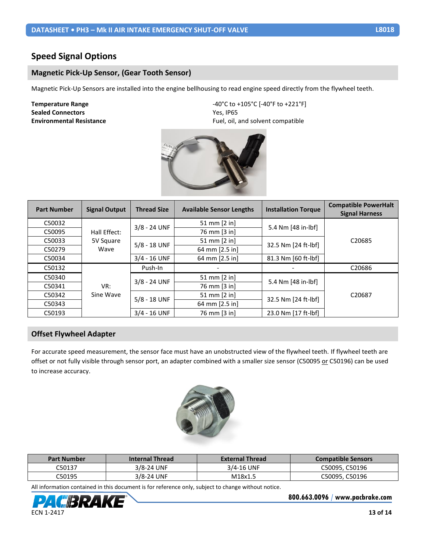# <span id="page-12-0"></span>**Speed Signal Options**

#### <span id="page-12-1"></span>**Magnetic Pick-Up Sensor, (Gear Tooth Sensor)**

Magnetic Pick-Up Sensors are installed into the engine bellhousing to read engine speed directly from the flywheel teeth.

# **Sealed Connectors** The Ves, IP65

**Temperature Range**  $-40^{\circ}$ C to +105°C [-40°F to +221°F] **Environmental Resistance** Fuel, oil, and solvent compatible



| <b>Part Number</b> | <b>Signal Output</b> | <b>Thread Size</b> | <b>Available Sensor Lengths</b> | <b>Installation Torque</b> | <b>Compatible PowerHalt</b><br><b>Signal Harness</b> |
|--------------------|----------------------|--------------------|---------------------------------|----------------------------|------------------------------------------------------|
| C50032             |                      |                    | 51 mm $[2 \text{ in}]$          |                            |                                                      |
| C50095             | Hall Effect:         | 3/8 - 24 UNF       | 76 mm [3 in]                    | 5.4 Nm [48 in-lbf]         |                                                      |
| C50033             | 5V Square            |                    | 51 mm [2 in]                    |                            | C20685                                               |
| C50279             | Wave                 | $5/8 - 18$ UNF     | 64 mm [2.5 in]                  | 32.5 Nm [24 ft-lbf]        |                                                      |
| C50034             |                      | $3/4 - 16$ UNF     | 64 mm [2.5 in]                  | 81.3 Nm [60 ft-lbf]        |                                                      |
| C50132             |                      | Push-In            |                                 |                            | C20686                                               |
| C50340             |                      |                    | 51 mm [2 in]                    | 5.4 Nm [48 in-lbf]         | C20687                                               |
| C50341             | VR:                  | $3/8 - 24$ UNF     | 76 mm [3 in]                    |                            |                                                      |
| C50342             | Sine Wave            | $5/8 - 18$ UNF     | 51 mm $[2 \text{ in}]$          |                            |                                                      |
| C50343             |                      |                    | 64 mm [2.5 in]                  | 32.5 Nm [24 ft-lbf]        |                                                      |
| C50193             |                      | $3/4 - 16$ UNF     | 76 mm [3 in]                    | 23.0 Nm [17 ft-lbf]        |                                                      |

#### <span id="page-12-2"></span>**Offset Flywheel Adapter**

For accurate speed measurement, the sensor face must have an unobstructed view of the flywheel teeth. If flywheel teeth are offset or not fully visible through sensor port, an adapter combined with a smaller size sensor (C50095 or C50196) can be used to increase accuracy.



| <b>Part Number</b> | <b>Internal Thread</b> | <b>External Thread</b> | <b>Compatible Sensors</b> |
|--------------------|------------------------|------------------------|---------------------------|
| C50137             | 3/8-24 UNF             | 3/4-16 UNF             | C50095, C50196            |
| C50195             | 3/8-24 UNF             | M18x1.5                | C50095. C50196            |

All information contained in this document is for reference only, subject to change without notice.